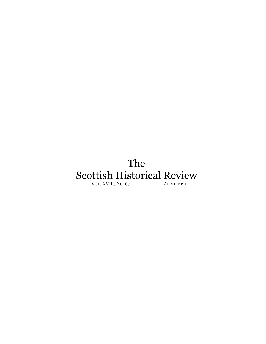## The Scottish Historical Review VOL. XVII., No. 67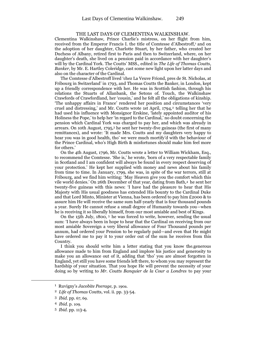## THE LAST DAYS OF CLEMENTINA WALKINSHAW.

Clementina Walkinshaw, Prince Charlie's mistress, on her flight from him, received from the Emperor Francis I. the title of Comtesse d'Albestroff,<sup>1</sup> and on the adoption of her daughter, Charlotte Stuart, by her father, who created her Duchess of Albany, retired first to Paris and then to Switzerland, where, on her daughter's death, she lived on a pension paid in accordance with her daughter's will by the Cardinal York. The Coutts' MSS., edited in *The Life of Thomas Coutts, Banker,* by Mr. E. Hartley Coleridge, cast some new light upon her latter days and also on the character of the Cardinal.

The Comtesse d'Albestroff lived 'chez La Veuve Friond, pres de St. Nicholas, at Fribourg in Switzerland' in 1793, and Thomas Coutts the Banker, in London, kept up a friendly correspondence with her. He was in Scottish fashion, through his relations the Stuarts of Allanbank, the Setons of. Touch, the Walkinshaw Crawfords of Crawfordland, her 'cousin,' and he felt all the obligations of kinship. 'The unhappy affairs in France' rendered her position and circumstances 'very cruel and distressing,' and Mr. Coutts wrote 1st April,  $1794$ <sup>2</sup> telling her that he had used his influence with Monsignor Erskine, 'lately appointed auditor of his Holiness the Pope,' to help her 'in regard to the Cardinal,' no doubt concerning the pension which Cardinal York was charged to pay her, and which was already in arrears. On 10th August, 1795,<sup>3</sup> he sent her twenty-five guineas (the first of many remittances), and wrote: 'It made Mrs. Coutts and my daughters very happy to hear you was in good health, tho' we were much mortify'd with the behaviour of the Prince Cardinal, who's High Birth & misfortunes should make him feel more for others.'

On the 4th August, 1796, Mr. Coutts wrote a letter to William Wickham, Esq., to recommend the Comtesse. 'She is,' he wrote, 'born of a very respectable family in Scotland and I am confident will always be found in every respect deserving of your protection.' He kept her supplied with money and news about his family from time to time. In January, 1799, she was, in spite of the war terrors, still at Fribourg, and we find him writing: 'May Heaven give you the comfort which this vile world denies.' On 26th December of that year, dating from Bath,<sup>4</sup> he sent her twenty-five guineas with this news: 'I have had the pleasure to hear that His Majesty with His usual goodness has extended His bounty to the Cardinal Duke and that Lord Minto, Minister at Vienna, has been ordered to pay him £2000 & to assure him He will receive the same sum half-yearly that is four thousand pounds a year. Surely He cannot refuse a small degree of Humanity towards you—when he is receiving it so liberally himself, from our most amiable and best of Kings.

On the 15th July, 1800, <sup>5</sup> he was forced to write, however, sending the usual sum: 'I have always been in hope to hear that the Cardinal on receiving from our most amiable Sovereign a very liberal allowance of Four Thousand pounds per annum, had ordered your Pension to be regularly paid—and even that He might have ordered me to pay it to your order out of the sum he receives from this Country.

I think you should write him a letter stating that you know the.generous allowance made to him from England and implore his justice and generosity to make you an allowance out of it, adding that 'tho' you are almost forgotten in England, yet still you have some friends left there, to whom you may represent the hardship of your situation. That you hope He will prevent the necessity of your doing so by writing to *Mr. Coutts Banquier de la Cour a Londres* to pay your

 $\overline{a}$ 

<sup>1</sup> Ruvigny's *Jacobite Peerage,* p. 190a.

<sup>2</sup> *Life of Thomas* Coutts*,* vol. ii. pp. 33-54.

<sup>3</sup> *Ibid.* pp. 67, 69.

<sup>4</sup> *Ibid.* p. 109.

<sup>5</sup> *Ibid.* pp. 113-4.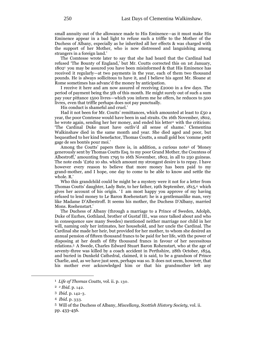small annuity out of the allowance made to His Eminence—as it must make His Eminence appear in a bad light to refuse such a triffle to the Mother of the Duchess of Albany, especially as he inherited all her effects & was charged with the support of her Mother, who is now distressed and languishing among strangers in a foreign land.'

The Comtesse wrote later to say that she had heard that the Cardinal had refused 'The Bounty of England,' but Mr. Coutts corrected this on 1st January,  $1802<sup>1</sup>$  you may be assured you have been misinformed & that His Eminence has received it regularly—at two payments in the year, each of them two thousand pounds. He is always sollicitous to have it, and I believe his agent Mr. Sloane at Rome sometimes has advanc'd the money by anticipation.

I receive it here and am now assured of receiving £2000 in a few days. The period of payment being the 5th of this month. He might surely out of such a sum pay your pittance 1500 livres—which you inform me he offers, he reduces to 500 livres, even that triffle perhaps does not pay punctually.

His conduct is shameful and cruel.'

Had it not been for Mr. Coutts' remittances, which amounted at least to £50 a year, the poor Comtesse would have been in sad straits. On 16th November, 1802, he wrote again, sending her her money, and ended his letter<sup>2</sup> with the criticism: 'The Cardinal Duke must have outliv'd all sense of shame.' Clementina Walkinshaw died in the same month and year. She died aged and poor, but bequeathed to her kind benefactor, Thomas Coutts, a small gold box 'comme petit gage de ses bontés pour moi.'

Among the Coutts' papers there is, in addition, a curious note<sup>3</sup> of 'Money generously sent by Thomas Coutts Esq. to my poor Grand Mother, the Countess of Albestroff,' amounting from 1795 to 16th November, 1802, in all to 250 guineas. The note ends '£262 10 shs. which amount my strongest desire is to repay. I have however every reason to believe that more money has been paid to my grand-mother, and I hope, one day to come to be able to know and settle the whole. R.'

Who this grandchild could be might be a mystery were it not for a letter from Thomas Coutts' daughter, Lady Bute, to her father, 19th September, 1815,<sup>4</sup> which gives her account of his origin. 'I am most happy you approve of my having refused to lend money to Le Baron Roehenstart: he is a gentlemanlike man, very like Madame D'Albestroff. It seems his mother, the Duchess D'Albany, married Mons. Roehenstart.'

The Duchess of Albany (through a marriage to a Prince of Sweden, Adolph, Duke of Eurhes, Gothland, brother of Gustaf III., was once talked about and who in consequence saw many Swedes) mentioned neither marriage nor child in her will, naming only her intimates, her household, and her uncle the Cardinal. The Cardinal she made her heir, but provided for her mother, to whom she desired an annual pension of fifteen thousand francs to be paid for her life, with the power of disposing at her death of fifty thousand francs in favour of her necessitous relations.<sup>5</sup> A Swede, Charles Edward Stuart Baron Rohenstart, who at the age of seventy-three was killed by a coach accident in Perthshire, 28th October, 1854, and buried in Dunkeld Cathedral, claimed, it is said, to be a grandson of Prince Charlie, and, as we have just seen, perhaps was so. It does not seem, however, that his mother ever acknowledged him or that his grandmother left any

 $\overline{a}$ 

<sup>1</sup> *Life of Thomas Coutts,* vol. ii. p. 130.

<sup>2</sup> *<sup>2</sup> Ibid.* p. 142.

<sup>3</sup> *Ibid.* p. 142-3.

<sup>4</sup> *Ibid.* p. 333.

<sup>5</sup> Will of the Duchess of Albany, *Miscellany, Scottish History Society,* vol. ii. pp. 433-456.